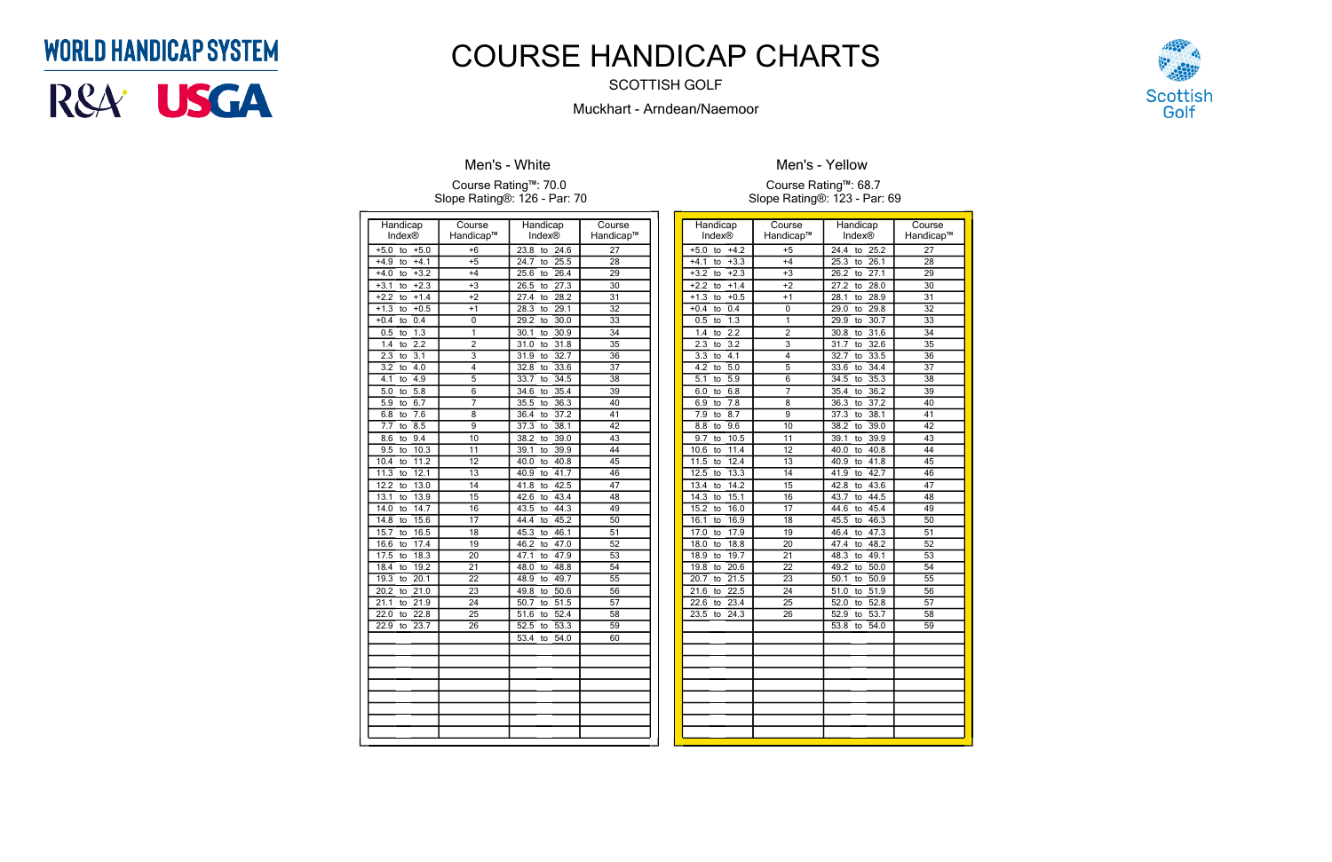| Handicap                        | Course                    | Handicap                        | Course          |
|---------------------------------|---------------------------|---------------------------------|-----------------|
| Index®                          | Handicap™                 | Index®                          | Handicap™       |
| $+5.0$<br>$+5.0$<br>to          | $+6$                      | 23.8<br>24.6<br>to              | $\overline{27}$ |
| $+4.1$<br>$+4.9$<br>to          | $+5$                      | 25.5<br>24.7<br>to              | 28              |
| $+3.2$<br>$+4.0$<br>to          | $+4$                      | 26.4<br>25.6<br>to              | $\overline{29}$ |
| $+2.3$<br>$+3.1$<br>to          | $+3$                      | 27.3<br>26.5<br>to              | 30              |
| $+1.4$<br>$+2.2$<br>to          | $+2$                      | 28.2<br>27.4<br>to              | 31              |
| $+0.5$<br>$+1.3$<br>to          | $+1$                      | 28.3<br>29.1<br>to              | $\overline{32}$ |
| 0.4<br>$+0.4$<br>to             | $\mathbf 0$               | 30.0<br>29.2<br>to              | 33              |
| $\overline{1.3}$<br>0.5<br>to   | 1                         | 30.1<br>30.9<br>to              | 34              |
| $\overline{2.2}$<br>1.4<br>to   | $\overline{2}$            | 31.8<br>31.0<br>to              | $\overline{35}$ |
| 23<br>$\overline{3.1}$<br>to    | $\overline{\overline{3}}$ | 32.7<br>31.9<br>to              | 36              |
| 4.0<br>3.2<br>to                | 4                         | 33.6<br>32.8<br>to              | $\overline{37}$ |
| 4.1<br>4.9<br>to                | $\overline{5}$            | 33.7<br>34.5<br>to              | $\overline{38}$ |
| 5.8<br>5.0<br>to                | 6                         | 35.4<br>34.6<br>to              | $\overline{39}$ |
| 6.7<br>5.9<br>to                | 7                         | 36.3<br>35.5<br>to              | 40              |
| 7.6<br>6.8<br>to                | 8                         | 37.2<br>36.4<br>to              | 41              |
| 7.7<br>8.5<br>to                | 9                         | 38.1<br>37.3<br>to              | 42              |
| 9.4<br>8.6<br>to                | 10                        | 38.2<br>39.0<br>to              | 43              |
| 10.3<br>9.5<br>to               | $\overline{11}$           | 39.9<br>39.1<br>to              | 44              |
| 11.2<br>10.4<br>to              | 12                        | 40.8<br>40.0<br>to              | 45              |
| 12.1<br>11.3<br>to              | 13                        | 41.7<br>40.9<br>to              | 46              |
| 12.2<br>13.0<br>to              | 14                        | 42.5<br>41.8<br>to              | 47              |
| 13.1<br>13.9<br>to              | 15                        | 43.4<br>42.6<br>to              | 48              |
| $\overline{14.7}$<br>14.0<br>to | 16                        | 43.5<br>44.3<br>to              | 49              |
| 14.8<br>15.6<br>to              | 17                        | 44.4<br>45.2<br>to              | $\overline{50}$ |
| 16.5<br>15.7<br>to              | 18                        | 46.1<br>45.3<br>to              | 51              |
| 16.6<br>17.4<br>to              | 19                        | 46.2<br>47.0<br>to              | 52              |
| 18.3<br>17.5<br>to              | $\overline{20}$           | 47.9<br>47.1<br>to              | 53              |
| 19.2<br>18.4<br>to              | 21                        | 48.8<br>48.0<br>to              | 54              |
| 19.3<br>20.1<br>to              | 22                        | 49.7<br>48.9<br>to              | $\overline{55}$ |
| 20.2<br>21.0<br>to              | $\overline{23}$           | 49.8<br>50.6<br>to              | $\overline{56}$ |
| 21.9<br>21.1<br>to              | 24                        | 50.7<br>$\overline{51.5}$<br>to | $\overline{57}$ |
| 22.8<br>22.0<br>to              | $\overline{25}$           | 52.4<br>51.6<br>to              | 58              |
| 22.9<br>23.7<br>to              | 26                        | 53.3<br>52.5<br>to              | 59              |
|                                 |                           | 53.4<br>54.0<br>to              | 60              |
|                                 |                           |                                 |                 |
|                                 |                           |                                 |                 |
|                                 |                           |                                 |                 |
|                                 |                           |                                 |                 |
|                                 |                           |                                 |                 |
|                                 |                           |                                 |                 |
|                                 |                           |                                 |                 |
|                                 |                           |                                 |                 |

### **Men's - White**

#### Course Rating™: 70.0 Slope Rating®: 126 - Par: 70

| Handicap                                          | Course                             | Handicap                           | Course                |
|---------------------------------------------------|------------------------------------|------------------------------------|-----------------------|
| Index <sup>®</sup>                                | Handicap™                          | <b>Index®</b>                      | Handicap™             |
| $+4.2$<br>$+5.0$<br>to                            | $+5$                               | 24.4<br>25.2<br>to                 | 27                    |
| $+4.1$<br>$+3.3$<br>to                            | $+4$                               | 25.3<br>26.1<br>to                 | 28                    |
| $+2.3$<br>$+3.2$<br>to                            | $+3$                               | 27.1<br>26.2<br>to                 | 29                    |
| $+2.2$<br>$+1.4$<br>to<br>$+0.5$                  | $+2$                               | 28.0<br>27.2<br>to                 | $\overline{30}$       |
| $+1.3$<br>to<br>0.4                               | $+1$<br>0                          | 28.9<br>28.1<br>to<br>29.8         | 31<br>32              |
| $+0.4$<br>to                                      | 1                                  | 29.0<br>to                         | 33                    |
| 1.3<br>0.5<br>to                                  |                                    | 30.7<br>29.9<br>to                 |                       |
| $\overline{2.2}$<br>1.4<br>to<br>3.2              | 2<br>3                             | 31.6<br>30.8<br>to<br>32.6         | 34<br>35              |
| 2.3<br>to<br>4.1                                  | 4                                  | 31.7<br>to<br>32.7                 | $\overline{36}$       |
| $\overline{3.3}$<br>to<br>$\overline{4.2}$<br>5.0 | 5                                  | 33.5<br>to<br>34.4                 | 37                    |
| to<br>5.9                                         |                                    | 33.6<br>to<br>35.3                 |                       |
| $\overline{5.1}$<br>to                            | 6                                  | 34.5<br>to                         | 38<br>$\overline{39}$ |
| 6.8<br>6.0<br>to<br>7.8                           | 7<br>8                             | 36.2<br>35.4<br>to<br>36.3<br>37.2 | 40                    |
| 6.9<br>to<br>8.7<br>7.9                           | 9                                  | to<br>38.1                         | 41                    |
| to                                                |                                    | 37.3<br>to                         | 42                    |
| 8.8<br>9.6<br>to                                  | 10<br>$\overline{11}$              | 38.2<br>39.0<br>to                 |                       |
| 9.7<br>10.5<br>to                                 |                                    | 39.1<br>39.9<br>to                 | 43                    |
| 11.4<br>10.6<br>to                                | 12                                 | 40.8<br>40.0<br>to                 | 44                    |
| 11.5<br>12.4<br>to                                | $\overline{13}$<br>14              | 41.8<br>40.9<br>to                 | 45                    |
| 12.5<br>13.3<br>to<br>13.4<br>14.2                |                                    | 42.7<br>41.9<br>to                 | 46                    |
| to                                                | $\overline{15}$                    | 42.8<br>43.6<br>to                 | 47                    |
| 15.1<br>14.3<br>to                                | 16                                 | 44.5<br>43.7<br>to                 | 48                    |
| 15.2<br>16.0<br>to                                | 17                                 | 44.6<br>45.4<br>to                 | 49                    |
| 16.9<br>16.1<br>to                                | 18                                 | 46.3<br>45.5<br>to                 | 50                    |
| 17.0<br>17.9<br>to<br>18.8                        | $\overline{19}$                    | 47.3<br>46.4<br>to<br>48.2         | 51                    |
| 18.0<br>to                                        | 20<br>$\overline{21}$              | 47.4<br>to                         | 52                    |
| 18.9<br>19.7<br>to                                |                                    | 48.3<br>49.1<br>to                 | $\overline{53}$       |
| 20.6<br>19.8<br>to                                | $\overline{22}$<br>$\overline{23}$ | 50.0<br>49.2<br>to                 | 54<br>$\overline{55}$ |
| 21.5<br>20.7<br>to<br>22.5                        | $\overline{24}$                    | 50.9<br>50.1<br>to                 |                       |
| 21.6<br>to<br>22.6<br>23.4                        |                                    | 51.0<br>$\overline{51.9}$<br>to    | 56<br>57              |
| to                                                | 25                                 | 52.8<br>52.0<br>to                 |                       |
| 23.5<br>24.3<br>to                                | 26                                 | 53.7<br>52.9<br>to                 | 58                    |
|                                                   |                                    | 53.8<br>54.0<br>to                 | $\overline{59}$       |
|                                                   |                                    |                                    |                       |
|                                                   |                                    |                                    |                       |
|                                                   |                                    |                                    |                       |
|                                                   |                                    |                                    |                       |
|                                                   |                                    |                                    |                       |
|                                                   |                                    |                                    |                       |
|                                                   |                                    |                                    |                       |
|                                                   |                                    |                                    |                       |
|                                                   |                                    |                                    |                       |



**Men's - Yellow**

Course Rating™: 68.7 Slope Rating®: 123 - Par: 69

## **WORLD HANDICAP SYSTEM**



# COURSE HANDICAP CHARTS

SCOTTISH GOLF

Muckhart - Arndean/Naemoor